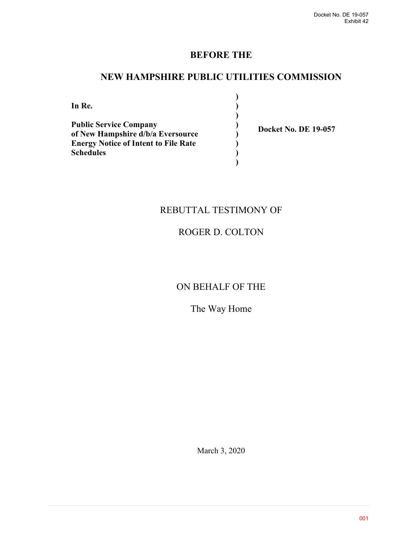# **BEFORE THE**

# **NEW HAMPSHIRE PUBLIC UTILITIES COMMISSION**

**) ) ) ) ) ) ) )**

**In Re. Public Service Company of New Hampshire d/b/a Eversource Energy Notice of Intent to File Rate Schedules**

**Docket No. DE 19-057** 

# REBUTTAL TESTIMONY OF

# ROGER D. COLTON

# ON BEHALF OF THE

# The Way Home

March 3, 2020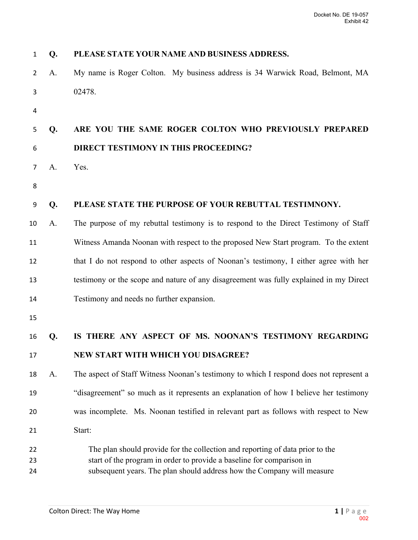| $\mathbf{1}$ | Q. | PLEASE STATE YOUR NAME AND BUSINESS ADDRESS.                                                                                                    |
|--------------|----|-------------------------------------------------------------------------------------------------------------------------------------------------|
| 2            | A. | My name is Roger Colton. My business address is 34 Warwick Road, Belmont, MA                                                                    |
| 3            |    | 02478.                                                                                                                                          |
| 4            |    |                                                                                                                                                 |
| 5            | Q. | ARE YOU THE SAME ROGER COLTON WHO PREVIOUSLY PREPARED                                                                                           |
| 6            |    | DIRECT TESTIMONY IN THIS PROCEEDING?                                                                                                            |
| 7            | A. | Yes.                                                                                                                                            |
| 8            |    |                                                                                                                                                 |
| 9            | Q. | PLEASE STATE THE PURPOSE OF YOUR REBUTTAL TESTIMNONY.                                                                                           |
| 10           | A. | The purpose of my rebuttal testimony is to respond to the Direct Testimony of Staff                                                             |
| 11           |    | Witness Amanda Noonan with respect to the proposed New Start program. To the extent                                                             |
| 12           |    | that I do not respond to other aspects of Noonan's testimony, I either agree with her                                                           |
| 13           |    | testimony or the scope and nature of any disagreement was fully explained in my Direct                                                          |
| 14           |    | Testimony and needs no further expansion.                                                                                                       |
| 15           |    |                                                                                                                                                 |
| 16           | Q. | IS THERE ANY ASPECT OF MS. NOONAN'S TESTIMONY REGARDING                                                                                         |
| 17           |    | NEW START WITH WHICH YOU DISAGREE?                                                                                                              |
| 18           | A. | The aspect of Staff Witness Noonan's testimony to which I respond does not represent a                                                          |
| 19           |    | "disagreement" so much as it represents an explanation of how I believe her testimony                                                           |
| 20           |    | was incomplete. Ms. Noonan testified in relevant part as follows with respect to New                                                            |
| 21           |    | Start:                                                                                                                                          |
| 22           |    | The plan should provide for the collection and reporting of data prior to the                                                                   |
| 23<br>24     |    | start of the program in order to provide a baseline for comparison in<br>subsequent years. The plan should address how the Company will measure |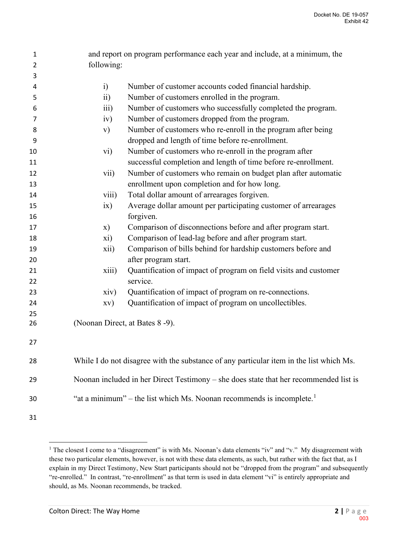| 1  |                 | and report on program performance each year and include, at a minimum, the              |  |  |  |  |
|----|-----------------|-----------------------------------------------------------------------------------------|--|--|--|--|
| 2  | following:      |                                                                                         |  |  |  |  |
| 3  |                 |                                                                                         |  |  |  |  |
| 4  | $\ddot{i}$      | Number of customer accounts coded financial hardship.                                   |  |  |  |  |
| 5  | $\overline{11}$ | Number of customers enrolled in the program.                                            |  |  |  |  |
| 6  | iii)            | Number of customers who successfully completed the program.                             |  |  |  |  |
| 7  | iv)             | Number of customers dropped from the program.                                           |  |  |  |  |
| 8  | $\mathbf{v})$   | Number of customers who re-enroll in the program after being                            |  |  |  |  |
| 9  |                 | dropped and length of time before re-enrollment.                                        |  |  |  |  |
| 10 | vi)             | Number of customers who re-enroll in the program after                                  |  |  |  |  |
| 11 |                 | successful completion and length of time before re-enrollment.                          |  |  |  |  |
| 12 | vii)            | Number of customers who remain on budget plan after automatic                           |  |  |  |  |
| 13 |                 | enrollment upon completion and for how long.                                            |  |  |  |  |
| 14 | viii)           | Total dollar amount of arrearages forgiven.                                             |  |  |  |  |
| 15 | ix)             | Average dollar amount per participating customer of arrearages                          |  |  |  |  |
| 16 |                 | forgiven.                                                                               |  |  |  |  |
| 17 | X)              | Comparison of disconnections before and after program start.                            |  |  |  |  |
| 18 | xi)             | Comparison of lead-lag before and after program start.                                  |  |  |  |  |
| 19 | xii)            | Comparison of bills behind for hardship customers before and                            |  |  |  |  |
| 20 |                 | after program start.                                                                    |  |  |  |  |
| 21 | xiii)           | Quantification of impact of program on field visits and customer                        |  |  |  |  |
| 22 |                 | service.                                                                                |  |  |  |  |
| 23 | xiv)            | Quantification of impact of program on re-connections.                                  |  |  |  |  |
| 24 | XV)             | Quantification of impact of program on uncollectibles.                                  |  |  |  |  |
| 25 |                 |                                                                                         |  |  |  |  |
| 26 |                 | (Noonan Direct, at Bates 8-9).                                                          |  |  |  |  |
| 27 |                 |                                                                                         |  |  |  |  |
| 28 |                 | While I do not disagree with the substance of any particular item in the list which Ms. |  |  |  |  |
| 29 |                 | Noonan included in her Direct Testimony – she does state that her recommended list is   |  |  |  |  |
| 30 |                 | "at a minimum" – the list which Ms. Noonan recommends is incomplete.                    |  |  |  |  |
| 31 |                 |                                                                                         |  |  |  |  |

<span id="page-2-0"></span><sup>&</sup>lt;sup>1</sup> The closest I come to a "disagreement" is with Ms. Noonan's data elements "iv" and "v." My disagreement with these two particular elements, however, is not with these data elements, as such, but rather with the fact that, as I explain in my Direct Testimony, New Start participants should not be "dropped from the program" and subsequently "re-enrolled." In contrast, "re-enrollment" as that term is used in data element "vi" is entirely appropriate and should, as Ms. Noonan recommends, be tracked.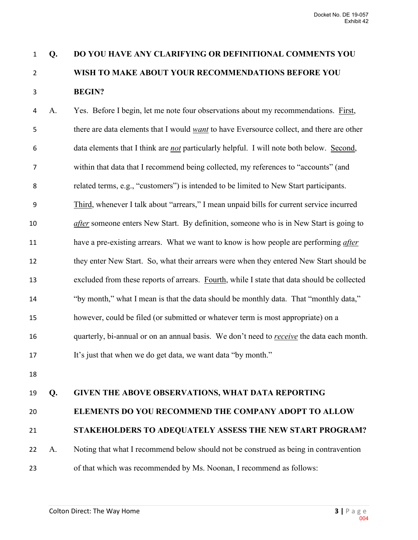# **Q. DO YOU HAVE ANY CLARIFYING OR DEFINITIONAL COMMENTS YOU WISH TO MAKE ABOUT YOUR RECOMMENDATIONS BEFORE YOU BEGIN?**

A. Yes. Before I begin, let me note four observations about my recommendations. First, there are data elements that I would *want* to have Eversource collect, and there are other data elements that I think are *not* particularly helpful. I will note both below. Second, within that data that I recommend being collected, my references to "accounts" (and related terms, e.g., "customers") is intended to be limited to New Start participants. Third, whenever I talk about "arrears," I mean unpaid bills for current service incurred *after* someone enters New Start. By definition, someone who is in New Start is going to have a pre-existing arrears. What we want to know is how people are performing *after* they enter New Start. So, what their arrears were when they entered New Start should be excluded from these reports of arrears. Fourth, while I state that data should be collected "by month," what I mean is that the data should be monthly data. That "monthly data," however, could be filed (or submitted or whatever term is most appropriate) on a quarterly, bi-annual or on an annual basis. We don't need to *receive* the data each month. It's just that when we do get data, we want data "by month."

## **Q. GIVEN THE ABOVE OBSERVATIONS, WHAT DATA REPORTING**

### **ELEMENTS DO YOU RECOMMEND THE COMPANY ADOPT TO ALLOW**

### **STAKEHOLDERS TO ADEQUATELY ASSESS THE NEW START PROGRAM?**

A. Noting that what I recommend below should not be construed as being in contravention

of that which was recommended by Ms. Noonan, I recommend as follows: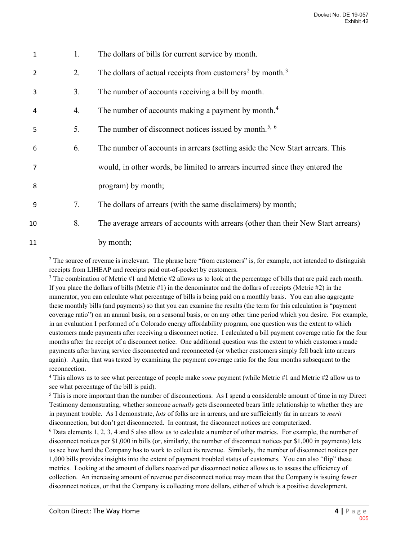| 1              | 1. | The dollars of bills for current service by month.                                |
|----------------|----|-----------------------------------------------------------------------------------|
| $\overline{2}$ | 2. | The dollars of actual receipts from customers <sup>2</sup> by month. <sup>3</sup> |
| 3              | 3. | The number of accounts receiving a bill by month.                                 |
| 4              | 4. | The number of accounts making a payment by month. <sup>4</sup>                    |
| 5              | 5. | The number of disconnect notices issued by month. <sup>5, 6</sup>                 |
| 6              | 6. | The number of accounts in arrears (setting aside the New Start arrears. This      |
|                |    | would, in other words, be limited to arrears incurred since they entered the      |
| 8              |    | program) by month;                                                                |
| 9              | 7. | The dollars of arrears (with the same disclaimers) by month;                      |
| 10             | 8. | The average arrears of accounts with arrears (other than their New Start arrears) |
| 11             |    | by month;                                                                         |
|                |    |                                                                                   |

<span id="page-4-0"></span> $2$  The source of revenue is irrelevant. The phrase here "from customers" is, for example, not intended to distinguish receipts from LIHEAP and receipts paid out-of-pocket by customers.<br><sup>3</sup> The combination of Metric #1 and Metric #2 allows us to look at the percentage of bills that are paid each month.

<span id="page-4-1"></span>If you place the dollars of bills (Metric  $\#1$ ) in the denominator and the dollars of receipts (Metric  $\#2$ ) in the numerator, you can calculate what percentage of bills is being paid on a monthly basis. You can also aggregate these monthly bills (and payments) so that you can examine the results (the term for this calculation is "payment coverage ratio") on an annual basis, on a seasonal basis, or on any other time period which you desire. For example, in an evaluation I performed of a Colorado energy affordability program, one question was the extent to which customers made payments after receiving a disconnect notice. I calculated a bill payment coverage ratio for the four months after the receipt of a disconnect notice. One additional question was the extent to which customers made payments after having service disconnected and reconnected (or whether customers simply fell back into arrears again). Again, that was tested by examining the payment coverage ratio for the four months subsequent to the reconnection.

<span id="page-4-2"></span>4 This allows us to see what percentage of people make *some* payment (while Metric #1 and Metric #2 allow us to see what percentage of the bill is paid).

<span id="page-4-3"></span><sup>5</sup> This is more important than the number of disconnections. As I spend a considerable amount of time in my Direct Testimony demonstrating, whether someone *actually* gets disconnected bears little relationship to whether they are in payment trouble. As I demonstrate, *lots* of folks are in arrears, and are sufficiently far in arrears to *merit* disconnection, but don't get disconnected. In contrast, the disconnect notices are computerized.

<span id="page-4-4"></span><sup>6</sup> Data elements 1, 2, 3, 4 and 5 also allow us to calculate a number of other metrics. For example, the number of disconnect notices per \$1,000 in bills (or, similarly, the number of disconnect notices per \$1,000 in payments) lets us see how hard the Company has to work to collect its revenue. Similarly, the number of disconnect notices per 1,000 bills provides insights into the extent of payment troubled status of customers. You can also "flip" these metrics. Looking at the amount of dollars received per disconnect notice allows us to assess the efficiency of collection. An increasing amount of revenue per disconnect notice may mean that the Company is issuing fewer disconnect notices, or that the Company is collecting more dollars, either of which is a positive development.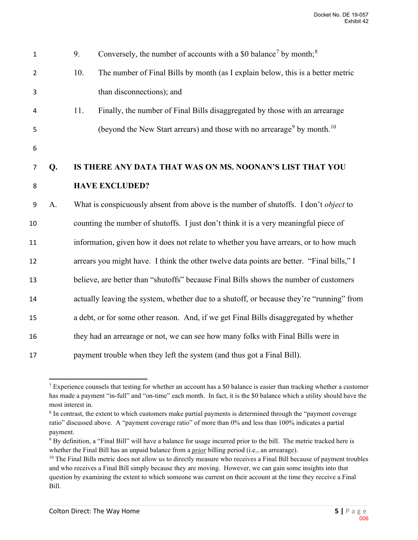| $\mathbf{1}$   |    | 9.                                                                                    | Conversely, the number of accounts with a \$0 balance <sup>7</sup> by month; <sup>8</sup>       |  |
|----------------|----|---------------------------------------------------------------------------------------|-------------------------------------------------------------------------------------------------|--|
| $\overline{2}$ |    | 10.                                                                                   | The number of Final Bills by month (as I explain below, this is a better metric                 |  |
| 3              |    |                                                                                       | than disconnections); and                                                                       |  |
| 4              |    | 11.                                                                                   | Finally, the number of Final Bills disaggregated by those with an arrearage                     |  |
| 5              |    |                                                                                       | (beyond the New Start arrears) and those with no arrearage <sup>9</sup> by month. <sup>10</sup> |  |
| 6              |    |                                                                                       |                                                                                                 |  |
| 7              | Q. | IS THERE ANY DATA THAT WAS ON MS. NOONAN'S LIST THAT YOU                              |                                                                                                 |  |
| 8              |    |                                                                                       | <b>HAVE EXCLUDED?</b>                                                                           |  |
| 9              | A. |                                                                                       | What is conspicuously absent from above is the number of shutoffs. I don't object to            |  |
| 10             |    | counting the number of shutoffs. I just don't think it is a very meaningful piece of  |                                                                                                 |  |
| 11             |    | information, given how it does not relate to whether you have arrears, or to how much |                                                                                                 |  |
| 12             |    |                                                                                       | arrears you might have. I think the other twelve data points are better. "Final bills," I       |  |
| 13             |    |                                                                                       | believe, are better than "shutoffs" because Final Bills shows the number of customers           |  |
| 14             |    |                                                                                       | actually leaving the system, whether due to a shutoff, or because they're "running" from        |  |
| 15             |    |                                                                                       | a debt, or for some other reason. And, if we get Final Bills disaggregated by whether           |  |
| 16             |    |                                                                                       | they had an arrearage or not, we can see how many folks with Final Bills were in                |  |
| 17             |    |                                                                                       | payment trouble when they left the system (and thus got a Final Bill).                          |  |

<span id="page-5-0"></span><sup>&</sup>lt;sup>7</sup> Experience counsels that testing for whether an account has a \$0 balance is easier than tracking whether a customer has made a payment "in-full" and "on-time" each month. In fact, it is the \$0 balance which a utility should have the most interest in.

<span id="page-5-1"></span><sup>&</sup>lt;sup>8</sup> In contrast, the extent to which customers make partial payments is determined through the "payment coverage" ratio" discussed above. A "payment coverage ratio" of more than 0% and less than 100% indicates a partial payment.

<span id="page-5-2"></span><sup>9</sup> By definition, a "Final Bill" will have a balance for usage incurred prior to the bill. The metric tracked here is whether the Final Bill has an unpaid balance from a *prior* billing period (i.e., an arrearage).<br><sup>10</sup> The Final Bills metric does not allow us to directly measure who receives a Final Bill because of payment troubles

<span id="page-5-3"></span>and who receives a Final Bill simply because they are moving. However, we can gain some insights into that question by examining the extent to which someone was current on their account at the time they receive a Final Bill.